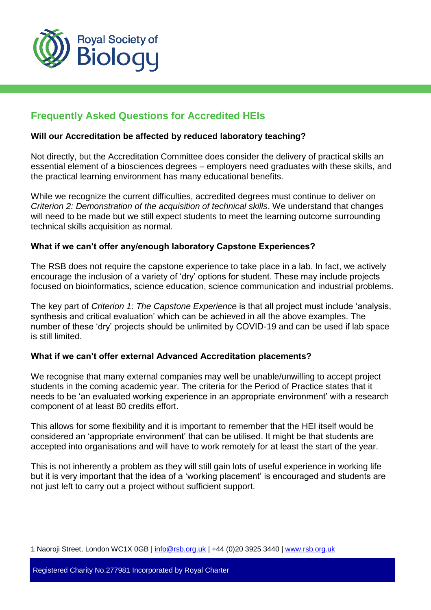

# **Frequently Asked Questions for Accredited HEIs**

### **Will our Accreditation be affected by reduced laboratory teaching?**

Not directly, but the Accreditation Committee does consider the delivery of practical skills an essential element of a biosciences degrees – employers need graduates with these skills, and the practical learning environment has many educational benefits.

While we recognize the current difficulties, accredited degrees must continue to deliver on *Criterion 2: Demonstration of the acquisition of technical skills*. We understand that changes will need to be made but we still expect students to meet the learning outcome surrounding technical skills acquisition as normal.

# **What if we can't offer any/enough laboratory Capstone Experiences?**

The RSB does not require the capstone experience to take place in a lab. In fact, we actively encourage the inclusion of a variety of 'dry' options for student. These may include projects focused on bioinformatics, science education, science communication and industrial problems.

The key part of *Criterion 1: The Capstone Experience* is that all project must include 'analysis, synthesis and critical evaluation' which can be achieved in all the above examples. The number of these 'dry' projects should be unlimited by COVID-19 and can be used if lab space is still limited.

### **What if we can't offer external Advanced Accreditation placements?**

We recognise that many external companies may well be unable/unwilling to accept project students in the coming academic year. The criteria for the Period of Practice states that it needs to be 'an evaluated working experience in an appropriate environment' with a research component of at least 80 credits effort.

This allows for some flexibility and it is important to remember that the HEI itself would be considered an 'appropriate environment' that can be utilised. It might be that students are accepted into organisations and will have to work remotely for at least the start of the year.

This is not inherently a problem as they will still gain lots of useful experience in working life but it is very important that the idea of a 'working placement' is encouraged and students are not just left to carry out a project without sufficient support.

1 Naoroji Street, London WC1X 0GB | info@rsb.org.uk | +44 (0)20 3925 3440 | [www.rsb.org.uk](http://www.rsb.org.uk/)

Registered Charity No.277981 Incorporated by Royal Charter